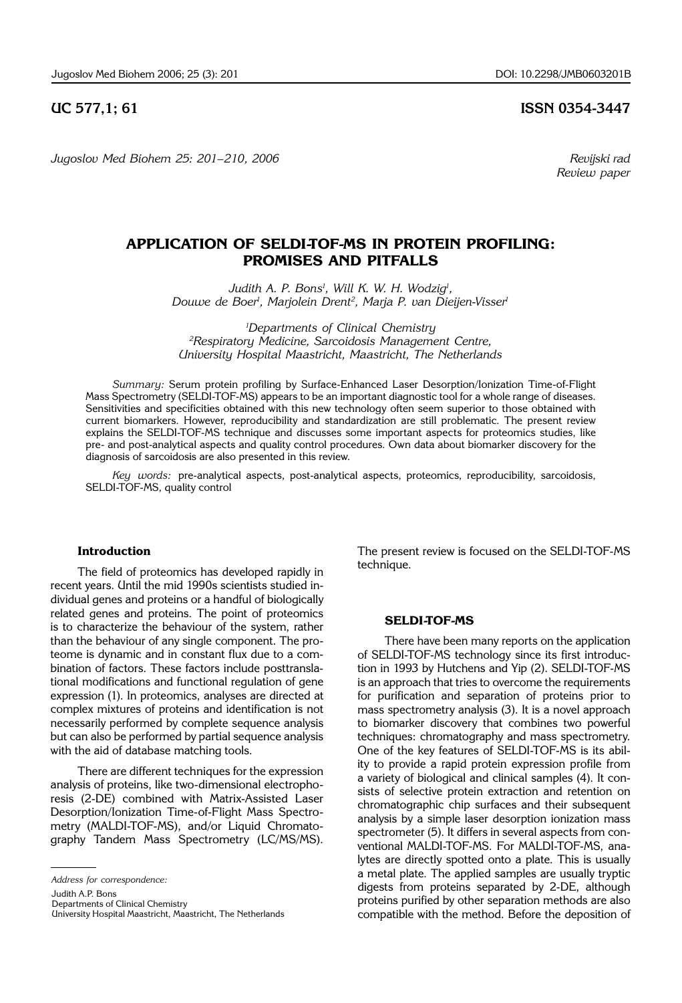*Jugoslov Med Biohem 25: 201*–*210, 2006 Revijski rad*

# **UC 577,1; 61 ISSN 0354-3447**

 *Review paper*

# **APPLICATION OF SELDI***-***TOF***-***MS IN PROTEIN PROFILING: PROMISES AND PITFALLS**

*Judith A. P. Bons1 , Will K. W. H. Wodzig1 , Douwe de Boer1 , Marjolein Drent2 , Marja P. van Dieijen*-*Visser1*

*1 Departments of Clinical Chemistry 2 Respiratory Medicine, Sarcoidosis Management Centre, University Hospital Maastricht, Maastricht, The Netherlands*

*Summary:* Serum protein profiling by Surface-Enhanced Laser Desorption/Ionization Time-of-Flight Mass Spectrometry (SELDI-TOF-MS) appears to be an important diagnostic tool for a whole range of diseases. Sensitivities and specificities obtained with this new technology often seem superior to those obtained with current biomarkers. However, reproducibility and standardization are still problematic. The present review explains the SELDI-TOF-MS technique and discusses some important aspects for proteomics studies, like pre- and post-analytical aspects and quality control procedures. Own data about biomarker discovery for the diagnosis of sarcoidosis are also presented in this review.

*Key words:* pre-analytical aspects, post-analytical aspects, proteomics, reproducibility, sarcoidosis, SELDI-TOF-MS, quality control

#### **Introduction**

The field of proteomics has developed rapidly in recent years. Until the mid 1990s scientists studied individual genes and proteins or a handful of biologically related genes and proteins. The point of proteomics is to characterize the behaviour of the system, rather than the behaviour of any single component. The proteome is dynamic and in constant flux due to a combination of factors. These factors include posttranslational modifications and functional regulation of gene expression (1). In proteomics, analyses are directed at complex mixtures of proteins and identification is not necessarily performed by complete sequence analysis but can also be performed by partial sequence analysis with the aid of database matching tools.

There are different techniques for the expression analysis of proteins, like two-dimensional electrophoresis (2-DE) combined with Matrix-Assisted Laser Desorption/Ionization Time-of-Flight Mass Spectrometry (MALDI-TOF-MS), and/or Liquid Chromatography Tandem Mass Spectrometry (LC/MS/MS).

Judith A.P. Bons

Departments of Clinical Chemistry

University Hospital Maastricht, Maastricht, The Netherlands

The present review is focused on the SELDI-TOF-MS technique.

# **SELDI***-***TOF***-***MS**

There have been many reports on the application of SELDI-TOF-MS technology since its first introduction in 1993 by Hutchens and Yip (2). SELDI-TOF-MS is an approach that tries to overcome the requirements for purification and separation of proteins prior to mass spectrometry analysis (3). It is a novel approach to biomarker discovery that combines two powerful techniques: chromatography and mass spectrometry. One of the key features of SELDI-TOF-MS is its ability to provide a rapid protein expression profile from a variety of biological and clinical samples (4). It consists of selective protein extraction and retention on chromatographic chip surfaces and their subsequent analysis by a simple laser desorption ionization mass spectrometer (5). It differs in several aspects from conventional MALDI-TOF-MS. For MALDI-TOF-MS, analytes are directly spotted onto a plate. This is usually a metal plate. The applied samples are usually tryptic digests from proteins separated by 2-DE, although proteins purified by other separation methods are also compatible with the method. Before the deposition of

*Address for correspondence:*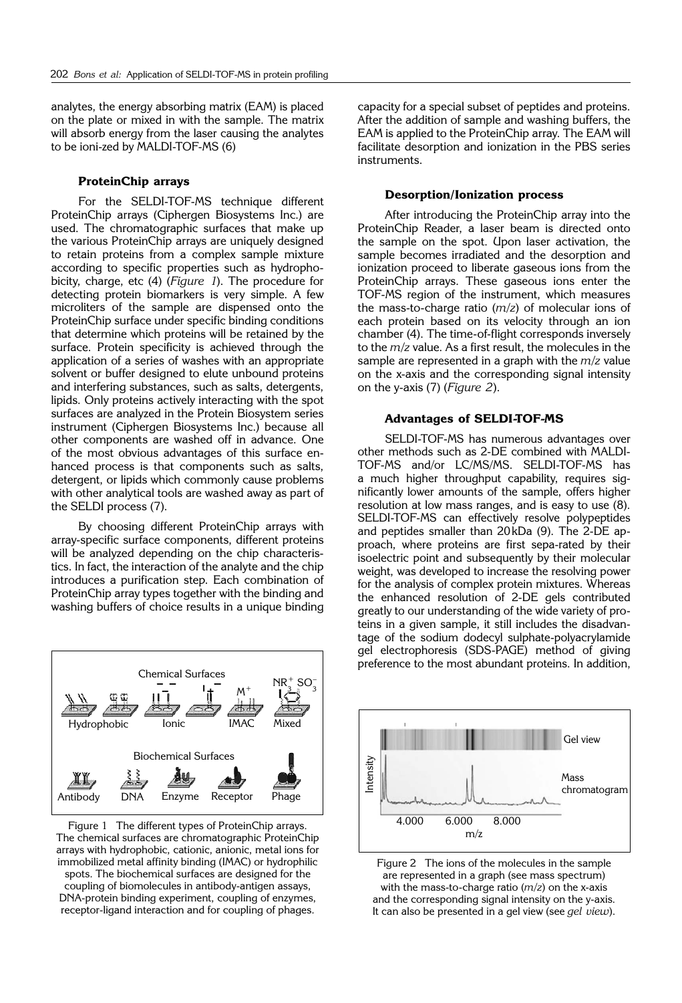analytes, the energy absorbing matrix (EAM) is placed on the plate or mixed in with the sample. The matrix will absorb energy from the laser causing the analytes to be ioni-zed by MALDI-TOF-MS (6)

#### **ProteinChip arrays**

For the SELDI-TOF-MS technique different ProteinChip arrays (Ciphergen Biosystems Inc.) are used. The chromatographic surfaces that make up the various ProteinChip arrays are uniquely designed to retain proteins from a complex sample mixture according to specific properties such as hydrophobicity, charge, etc (4) (*Figure 1*). The procedure for detecting protein biomarkers is very simple. A few microliters of the sample are dispensed onto the ProteinChip surface under specific binding conditions that determine which proteins will be retained by the surface. Protein specificity is achieved through the application of a series of washes with an appropriate solvent or buffer designed to elute unbound proteins and interfering substances, such as salts, detergents, lipids. Only proteins actively interacting with the spot surfaces are analyzed in the Protein Biosystem series instrument (Ciphergen Biosystems Inc.) because all other components are washed off in advance. One of the most obvious advantages of this surface enhanced process is that components such as salts, detergent, or lipids which commonly cause problems with other analytical tools are washed away as part of the SELDI process (7).

By choosing different ProteinChip arrays with array-specific surface components, different proteins will be analyzed depending on the chip characteristics. In fact, the interaction of the analyte and the chip introduces a purification step. Each combination of ProteinChip array types together with the binding and washing buffers of choice results in a unique binding



Figure 1 The different types of ProteinChip arrays. The chemical surfaces are chromatographic ProteinChip arrays with hydrophobic, cationic, anionic, metal ions for immobilized metal affinity binding (IMAC) or hydrophilic spots. The biochemical surfaces are designed for the

coupling of biomolecules in antibody-antigen assays, DNA-protein binding experiment, coupling of enzymes, receptor-ligand interaction and for coupling of phages.

capacity for a special subset of peptides and proteins. After the addition of sample and washing buffers, the EAM is applied to the ProteinChip array. The EAM will facilitate desorption and ionization in the PBS series instruments.

#### **Desorption/Ionization process**

After introducing the ProteinChip array into the ProteinChip Reader, a laser beam is directed onto the sample on the spot. Upon laser activation, the sample becomes irradiated and the desorption and ionization proceed to liberate gaseous ions from the ProteinChip arrays. These gaseous ions enter the TOF-MS region of the instrument, which measures the mass-to-charge ratio (*m/z*) of molecular ions of each protein based on its velocity through an ion chamber (4). The time-of-flight corresponds inversely to the *m/z* value. As a first result, the molecules in the sample are represented in a graph with the *m/z* value on the x-axis and the corresponding signal intensity on the y-axis (7) (*Figure 2*).

# **Advantages of SELDI***-***TOF***-***MS**

SELDI-TOF-MS has numerous advantages over other methods such as 2-DE combined with MALDI-TOF-MS and/or LC/MS/MS. SELDI-TOF-MS has a much higher throughput capability, requires significantly lower amounts of the sample, offers higher resolution at low mass ranges, and is easy to use (8). SELDI-TOF-MS can effectively resolve polypeptides and peptides smaller than 20kDa (9). The 2-DE approach, where proteins are first sepa-rated by their isoelectric point and subsequently by their molecular weight, was developed to increase the resolving power for the analysis of complex protein mixtures. Whereas the enhanced resolution of 2-DE gels contributed greatly to our understanding of the wide variety of proteins in a given sample, it still includes the disadvantage of the sodium dodecyl sulphate-polyacrylamide gel electrophoresis (SDS-PAGE) method of giving preference to the most abundant proteins. In addition,



Figure 2 The ions of the molecules in the sample are represented in a graph (see mass spectrum) with the mass-to-charge ratio (*m/z*) on the x-axis and the corresponding signal intensity on the y-axis. It can also be presented in a gel view (see *gel view*).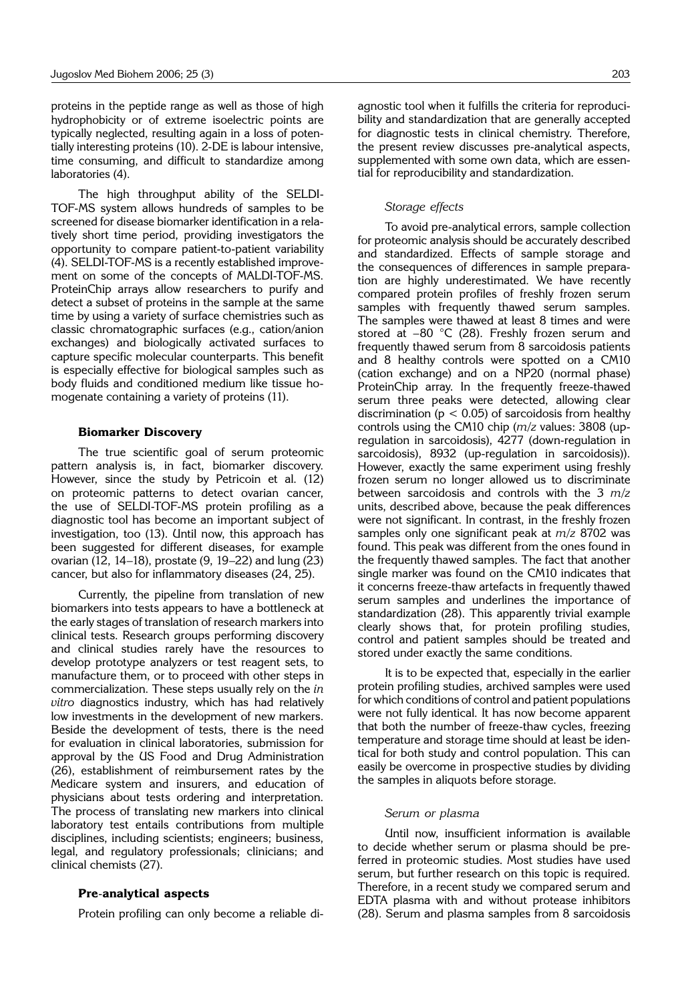proteins in the peptide range as well as those of high hydrophobicity or of extreme isoelectric points are typically neglected, resulting again in a loss of potentially interesting proteins (10). 2-DE is labour intensive, time consuming, and difficult to standardize among laboratories (4).

The high throughput ability of the SELDI-TOF-MS system allows hundreds of samples to be screened for disease biomarker identification in a relatively short time period, providing investigators the opportunity to compare patient-to-patient variability (4). SELDI-TOF-MS is a recently established improvement on some of the concepts of MALDI-TOF-MS. ProteinChip arrays allow researchers to purify and detect a subset of proteins in the sample at the same time by using a variety of surface chemistries such as classic chromatographic surfaces (e.g., cation/anion exchanges) and biologically activated surfaces to capture specific molecular counterparts. This benefit is especially effective for biological samples such as body fluids and conditioned medium like tissue homogenate containing a variety of proteins (11).

#### **Biomarker Discovery**

The true scientific goal of serum proteomic pattern analysis is, in fact, biomarker discovery. However, since the study by Petricoin et al. (12) on proteomic patterns to detect ovarian cancer, the use of SELDI-TOF-MS protein profiling as a diagnostic tool has become an important subject of investigation, too (13). Until now, this approach has been suggested for different diseases, for example ovarian (12, 14–18), prostate (9, 19–22) and lung (23) cancer, but also for inflammatory diseases (24, 25).

Currently, the pipeline from translation of new biomarkers into tests appears to have a bottleneck at the early stages of translation of research markers into clinical tests. Research groups performing discovery and clinical studies rarely have the resources to develop prototype analyzers or test reagent sets, to manufacture them, or to proceed with other steps in commercialization. These steps usually rely on the *in vitro* diagnostics industry, which has had relatively low investments in the development of new markers. Beside the development of tests, there is the need for evaluation in clinical laboratories, submission for approval by the US Food and Drug Administration (26), establishment of reimbursement rates by the Medicare system and insurers, and education of physicians about tests ordering and interpretation. The process of translating new markers into clinical laboratory test entails contributions from multiple disciplines, including scientists; engineers; business, legal, and regulatory professionals; clinicians; and clinical chemists (27).

### **Pre**-**analytical aspects**

Protein profiling can only become a reliable di-

agnostic tool when it fulfills the criteria for reproducibility and standardization that are generally accepted for diagnostic tests in clinical chemistry. Therefore, the present review discusses pre-analytical aspects, supplemented with some own data, which are essential for reproducibility and standardization.

#### *Storage effects*

To avoid pre-analytical errors, sample collection for proteomic analysis should be accurately described and standardized. Effects of sample storage and the consequences of differences in sample preparation are highly underestimated. We have recently compared protein profiles of freshly frozen serum samples with frequently thawed serum samples. The samples were thawed at least 8 times and were stored at  $-80$  °C (28). Freshly frozen serum and frequently thawed serum from 8 sarcoidosis patients and 8 healthy controls were spotted on a CM10 (cation exchange) and on a NP20 (normal phase) ProteinChip array. In the frequently freeze-thawed serum three peaks were detected, allowing clear discrimination ( $p < 0.05$ ) of sarcoidosis from healthy controls using the CM10 chip (*m/z* values: 3808 (upregulation in sarcoidosis), 4277 (down-regulation in sarcoidosis), 8932 (up-regulation in sarcoidosis)). However, exactly the same experiment using freshly frozen serum no longer allowed us to discriminate between sarcoidosis and controls with the 3 *m/z* units, described above, because the peak differences were not significant. In contrast, in the freshly frozen samples only one significant peak at *m/z* 8702 was found. This peak was different from the ones found in the frequently thawed samples. The fact that another single marker was found on the CM10 indicates that it concerns freeze-thaw artefacts in frequently thawed serum samples and underlines the importance of standardization (28). This apparently trivial example clearly shows that, for protein profiling studies, control and patient samples should be treated and stored under exactly the same conditions.

It is to be expected that, especially in the earlier protein profiling studies, archived samples were used for which conditions of control and patient populations were not fully identical. It has now become apparent that both the number of freeze-thaw cycles, freezing temperature and storage time should at least be identical for both study and control population. This can easily be overcome in prospective studies by dividing the samples in aliquots before storage.

# *Serum or plasma*

Until now, insufficient information is available to decide whether serum or plasma should be preferred in proteomic studies. Most studies have used serum, but further research on this topic is required. Therefore, in a recent study we compared serum and EDTA plasma with and without protease inhibitors (28). Serum and plasma samples from 8 sarcoidosis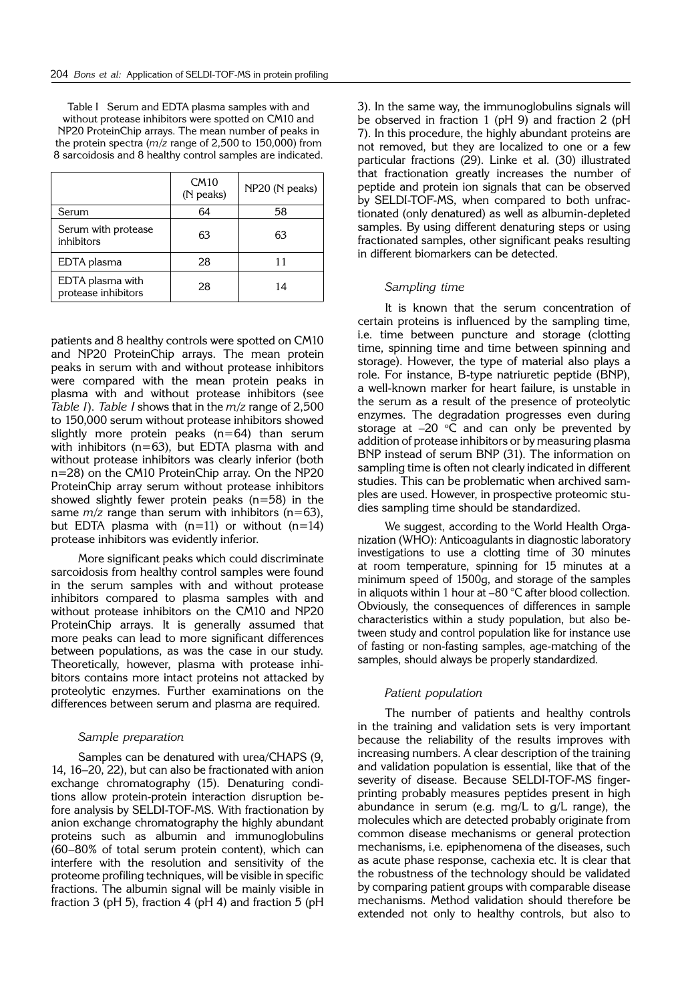Table I Serum and EDTA plasma samples with and without protease inhibitors were spotted on CM10 and NP20 ProteinChip arrays. The mean number of peaks in the protein spectra (*m/z* range of 2,500 to 150,000) from 8 sarcoidosis and 8 healthy control samples are indicated.

|                                         | CM10<br>(N peaks) | NP20 (N peaks) |
|-----------------------------------------|-------------------|----------------|
| Serum                                   | 64                | 58             |
| Serum with protease<br>inhibitors       | 63                | 63             |
| EDTA plasma                             | 28                |                |
| EDTA plasma with<br>protease inhibitors | 28                | 14             |

patients and 8 healthy controls were spotted on CM10 and NP20 ProteinChip arrays. The mean protein peaks in serum with and without protease inhibitors were compared with the mean protein peaks in plasma with and without protease inhibitors (see *Table I*). *Table I* shows that in the *m/z* range of 2,500 to 150,000 serum without protease inhibitors showed slightly more protein peaks (n=64) than serum with inhibitors (n=63), but EDTA plasma with and without protease inhibitors was clearly inferior (both n=28) on the CM10 ProteinChip array. On the NP20 ProteinChip array serum without protease inhibitors showed slightly fewer protein peaks  $(n=58)$  in the same  $m/z$  range than serum with inhibitors ( $n=63$ ), but EDTA plasma with  $(n=11)$  or without  $(n=14)$ protease inhibitors was evidently inferior.

More significant peaks which could discriminate sarcoidosis from healthy control samples were found in the serum samples with and without protease inhibitors compared to plasma samples with and without protease inhibitors on the CM10 and NP20 ProteinChip arrays. It is generally assumed that more peaks can lead to more significant differences between populations, as was the case in our study. Theoretically, however, plasma with protease inhibitors contains more intact proteins not attacked by proteolytic enzymes. Further examinations on the differences between serum and plasma are required.

#### *Sample preparation*

Samples can be denatured with urea/CHAPS (9, 14,  $16-20$ ,  $22$ ), but can also be fractionated with anion exchange chromatography (15). Denaturing conditions allow protein-protein interaction disruption before analysis by SELDI-TOF-MS. With fractionation by anion exchange chromatography the highly abundant proteins such as albumin and immunoglobulins  $(60-80\%$  of total serum protein content), which can interfere with the resolution and sensitivity of the proteome profiling techniques, will be visible in specific fractions. The albumin signal will be mainly visible in fraction 3 (pH 5), fraction 4 (pH 4) and fraction 5 (pH

3). In the same way, the immunoglobulins signals will be observed in fraction 1 (pH 9) and fraction 2 (pH 7). In this procedure, the highly abundant proteins are not removed, but they are localized to one or a few particular fractions (29). Linke et al. (30) illustrated that fractionation greatly increases the number of peptide and protein ion signals that can be observed by SELDI-TOF-MS, when compared to both unfractionated (only denatured) as well as albumin-depleted samples. By using different denaturing steps or using fractionated samples, other significant peaks resulting in different biomarkers can be detected.

#### *Sampling time*

It is known that the serum concentration of certain proteins is influenced by the sampling time, i.e. time between puncture and storage (clotting time, spinning time and time between spinning and storage). However, the type of material also plays a role. For instance, B-type natriuretic peptide (BNP), a well-known marker for heart failure, is unstable in the serum as a result of the presence of proteolytic enzymes. The degradation progresses even during storage at  $-20$  °C and can only be prevented by addition of protease inhibitors or by measuring plasma BNP instead of serum BNP (31). The information on sampling time is often not clearly indicated in different studies. This can be problematic when archived samples are used. However, in prospective proteomic studies sampling time should be standardized.

We suggest, according to the World Health Organization (WHO): Anticoagulants in diagnostic laboratory investigations to use a clotting time of 30 minutes at room temperature, spinning for 15 minutes at a minimum speed of 1500g, and storage of the samples in aliquots within 1 hour at  $-80$  °C after blood collection. Obviously, the consequences of differences in sample characteristics within a study population, but also between study and control population like for instance use of fasting or non-fasting samples, age-matching of the samples, should always be properly standardized.

# *Patient population*

The number of patients and healthy controls in the training and validation sets is very important because the reliability of the results improves with increasing numbers. A clear description of the training and validation population is essential, like that of the severity of disease. Because SELDI-TOF-MS fingerprinting probably measures peptides present in high abundance in serum (e.g. mg/L to g/L range), the molecules which are detected probably originate from common disease mechanisms or general protection mechanisms, i.e. epiphenomena of the diseases, such as acute phase response, cachexia etc. It is clear that the robustness of the technology should be validated by comparing patient groups with comparable disease mechanisms. Method validation should therefore be extended not only to healthy controls, but also to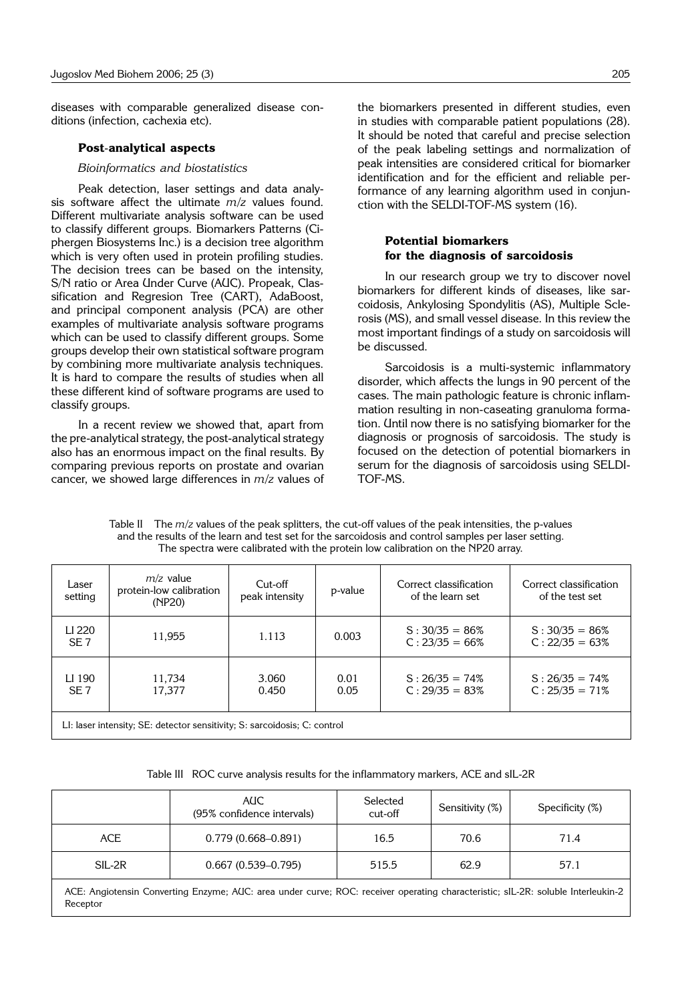diseases with comparable generalized disease conditions (infection, cachexia etc).

#### **Post**-**analytical aspects**

# *Bioinformatics and biostatistics*

Peak detection, laser settings and data analysis software affect the ultimate *m/z* values found. Different multivariate analysis software can be used to classify different groups. Biomarkers Patterns (Ciphergen Biosystems Inc.) is a decision tree algorithm which is very often used in protein profiling studies. The decision trees can be based on the intensity, S/N ratio or Area Under Curve (AUC). Propeak, Classification and Regresion Tree (CART), AdaBoost, and principal component analysis (PCA) are other examples of multivariate analysis software programs which can be used to classify different groups. Some groups develop their own statistical software program by combining more multivariate analysis techniques. It is hard to compare the results of studies when all these different kind of software programs are used to classify groups.

In a recent review we showed that, apart from the pre-analytical strategy, the post-analytical strategy also has an enormous impact on the final results. By comparing previous reports on prostate and ovarian cancer, we showed large differences in *m/z* values of the biomarkers presented in different studies, even in studies with comparable patient populations (28). It should be noted that careful and precise selection of the peak labeling settings and normalization of peak intensities are considered critical for biomarker identification and for the efficient and reliable performance of any learning algorithm used in conjunction with the SELDI-TOF-MS system (16).

# **Potential biomarkers for the diagnosis of sarcoidosis**

In our research group we try to discover novel biomarkers for different kinds of diseases, like sarcoidosis, Ankylosing Spondylitis (AS), Multiple Sclerosis (MS), and small vessel disease. In this review the most important findings of a study on sarcoidosis will be discussed.

Sarcoidosis is a multi-systemic inflammatory disorder, which affects the lungs in 90 percent of the cases. The main pathologic feature is chronic inflammation resulting in non-caseating granuloma formation. Until now there is no satisfying biomarker for the diagnosis or prognosis of sarcoidosis. The study is focused on the detection of potential biomarkers in serum for the diagnosis of sarcoidosis using SELDI-TOF-MS.

Table II The *m/z* values of the peak splitters, the cut-off values of the peak intensities, the p-values and the results of the learn and test set for the sarcoidosis and control samples per laser setting. The spectra were calibrated with the protein low calibration on the NP20 array.

| Laser<br>setting                                                          | $m/z$ value<br>protein-low calibration<br>(NP20) | Cut-off<br>peak intensity | p-value      | Correct classification<br>of the learn set | Correct classification<br>of the test set |  |
|---------------------------------------------------------------------------|--------------------------------------------------|---------------------------|--------------|--------------------------------------------|-------------------------------------------|--|
| LI 220<br>SE <sub>7</sub>                                                 | 11.955                                           | 1.113                     | 0.003        | $S: 30/35 = 86\%$<br>$C: 23/35 = 66\%$     | $S: 30/35 = 86\%$<br>$C: 22/35 = 63\%$    |  |
| LI 190<br>SE <sub>7</sub>                                                 | 11,734<br>17.377                                 | 3.060<br>0.450            | 0.01<br>0.05 | $S: 26/35 = 74\%$<br>$C: 29/35 = 83%$      | $S: 26/35 = 74\%$<br>$C: 25/35 = 71\%$    |  |
| LI: laser intensity; SE: detector sensitivity; S: sarcoidosis; C: control |                                                  |                           |              |                                            |                                           |  |

|  |  |  |  |  | Table III ROC curve analysis results for the inflammatory markers, ACE and sIL-2R |  |  |  |  |
|--|--|--|--|--|-----------------------------------------------------------------------------------|--|--|--|--|
|--|--|--|--|--|-----------------------------------------------------------------------------------|--|--|--|--|

|                                                                                                                                              | AUC.<br>(95% confidence intervals) | Selected<br>cut-off | Sensitivity (%) | Specificity (%) |  |  |
|----------------------------------------------------------------------------------------------------------------------------------------------|------------------------------------|---------------------|-----------------|-----------------|--|--|
| <b>ACE</b>                                                                                                                                   | $0.779(0.668 - 0.891)$             | 16.5                | 70.6            | 71.4            |  |  |
| SIL-2R                                                                                                                                       | $0.667(0.539 - 0.795)$             | 515.5               | 62.9            | 57.1            |  |  |
| ACE: Angiotensin Converting Enzyme; AUC: area under curve; ROC: receiver operating characteristic; slL-2R: soluble Interleukin-2<br>Receptor |                                    |                     |                 |                 |  |  |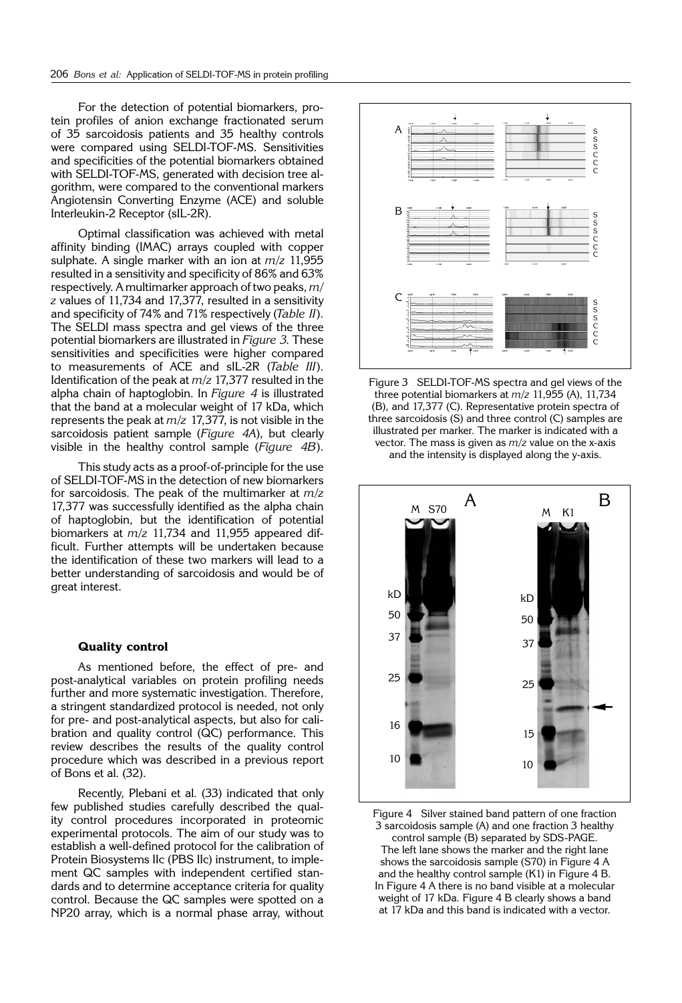For the detection of potential biomarkers, protein profiles of anion exchange fractionated serum of 35 sarcoidosis patients and 35 healthy controls were compared using SELDI-TOF-MS. Sensitivities and specificities of the potential biomarkers obtained with SELDI-TOF-MS, generated with decision tree algorithm, were compared to the conventional markers Angiotensin Converting Enzyme (ACE) and soluble Interleukin-2 Receptor (sIL-2R).

Optimal classification was achieved with metal affinity binding (IMAC) arrays coupled with copper sulphate. A single marker with an ion at *m/z* 11,955 resulted in a sensitivity and specificity of 86% and 63% respectively. A multimarker approach of two peaks, *m/ z* values of 11,734 and 17,377, resulted in a sensitivity and specificity of 74% and 71% respectively (*Table II*). The SELDI mass spectra and gel views of the three potential biomarkers are illustrated in *Figure 3*. These sensitivities and specificities were higher compared to measurements of ACE and sIL-2R (*Table III*). Identification of the peak at *m/z* 17,377 resulted in the alpha chain of haptoglobin. In *Figure 4* is illustrated that the band at a molecular weight of 17 kDa, which represents the peak at *m/z* 17,377, is not visible in the sarcoidosis patient sample (*Figure 4A*), but clearly visible in the healthy control sample (*Figure 4B*).

This study acts as a proof-of-principle for the use of SELDI-TOF-MS in the detection of new biomarkers for sarcoidosis. The peak of the multimarker at *m/z* 17,377 was successfully identified as the alpha chain of haptoglobin, but the identification of potential biomarkers at *m/z* 11,734 and 11,955 appeared difficult. Further attempts will be undertaken because the identification of these two markers will lead to a better understanding of sarcoidosis and would be of great interest.

# **Quality control**

As mentioned before, the effect of pre- and post-analytical variables on protein profiling needs further and more systematic investigation. Therefore, a stringent standardized protocol is needed, not only for pre- and post-analytical aspects, but also for calibration and quality control (QC) performance. This review describes the results of the quality control procedure which was described in a previous report of Bons et al. (32).

Recently, Plebani et al. (33) indicated that only few published studies carefully described the quality control procedures incorporated in proteomic experimental protocols. The aim of our study was to establish a well-defined protocol for the calibration of Protein Biosystems IIc (PBS IIc) instrument, to implement QC samples with independent certified standards and to determine acceptance criteria for quality control. Because the QC samples were spotted on a NP20 array, which is a normal phase array, without



Figure 3 SELDI-TOF-MS spectra and gel views of the three potential biomarkers at *m/z* 11,955 (A), 11,734 (B), and 17,377 (C). Representative protein spectra of three sarcoidosis (S) and three control (C) samples are illustrated per marker. The marker is indicated with a vector. The mass is given as *m/z* value on the x-axis and the intensity is displayed along the y-axis.



Figure 4 Silver stained band pattern of one fraction 3 sarcoidosis sample (A) and one fraction 3 healthy control sample (B) separated by SDS-PAGE. The left lane shows the marker and the right lane shows the sarcoidosis sample (S70) in Figure 4 A and the healthy control sample (K1) in Figure 4 B. In Figure 4 A there is no band visible at a molecular weight of 17 kDa. Figure 4 B clearly shows a band at 17 kDa and this band is indicated with a vector.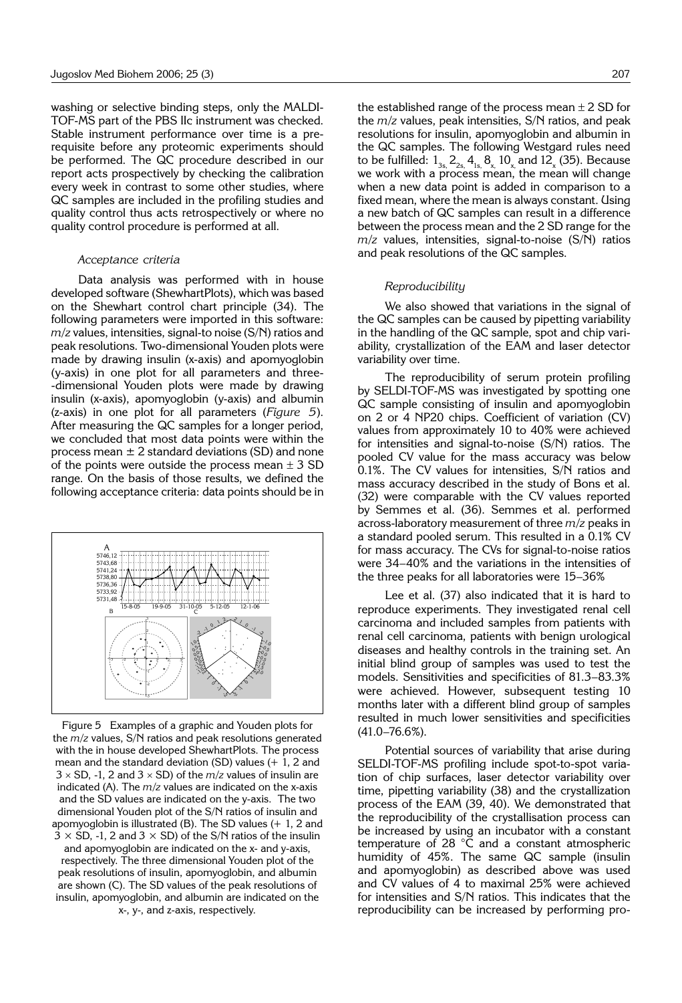washing or selective binding steps, only the MALDI-TOF-MS part of the PBS IIc instrument was checked. Stable instrument performance over time is a prerequisite before any proteomic experiments should be performed. The QC procedure described in our report acts prospectively by checking the calibration every week in contrast to some other studies, where QC samples are included in the profiling studies and quality control thus acts retrospectively or where no quality control procedure is performed at all.

#### *Acceptance criteria*

Data analysis was performed with in house developed software (ShewhartPlots), which was based on the Shewhart control chart principle (34). The following parameters were imported in this software: *m/z* values, intensities, signal-to noise (S/N) ratios and peak resolutions. Two-dimensional Youden plots were made by drawing insulin (x-axis) and apomyoglobin (y-axis) in one plot for all parameters and three- -dimensional Youden plots were made by drawing insulin (x-axis), apomyoglobin (y-axis) and albumin (z-axis) in one plot for all parameters (*Figure 5*). After measuring the QC samples for a longer period, we concluded that most data points were within the process mean  $\pm$  2 standard deviations (SD) and none of the points were outside the process mean  $\pm$  3 SD range. On the basis of those results, we defined the following acceptance criteria: data points should be in



Figure 5 Examples of a graphic and Youden plots for the *m/z* values, S/N ratios and peak resolutions generated with the in house developed ShewhartPlots. The process mean and the standard deviation (SD) values (+ 1, 2 and  $3 \times$  SD, -1, 2 and  $3 \times$  SD) of the  $m/z$  values of insulin are indicated (A). The *m/z* values are indicated on the x-axis and the SD values are indicated on the y-axis. The two dimensional Youden plot of the S/N ratios of insulin and apomyoglobin is illustrated (B). The SD values (+ 1, 2 and  $3 \times$  SD, -1, 2 and  $3 \times$  SD) of the S/N ratios of the insulin and apomyoglobin are indicated on the x- and y-axis, respectively. The three dimensional Youden plot of the peak resolutions of insulin, apomyoglobin, and albumin are shown (C). The SD values of the peak resolutions of insulin, apomyoglobin, and albumin are indicated on the x-, y-, and z-axis, respectively.

the established range of the process mean  $\pm$  2 SD for the *m/z* values, peak intensities, S/N ratios, and peak resolutions for insulin, apomyoglobin and albumin in the QC samples. The following Westgard rules need to be fulfilled:  $1_{3s}$ ,  $2_{2s}$ ,  $4_{1s}$ ,  $8_x$ ,  $10_x$ , and  $12_x$  (35). Because we work with a process mean, the mean will change when a new data point is added in comparison to a fixed mean, where the mean is always constant. Using a new batch of QC samples can result in a difference between the process mean and the 2 SD range for the *m/z* values, intensities, signal-to-noise (S/N) ratios and peak resolutions of the QC samples.

#### *Reproducibility*

We also showed that variations in the signal of the QC samples can be caused by pipetting variability in the handling of the QC sample, spot and chip variability, crystallization of the EAM and laser detector variability over time.

The reproducibility of serum protein profiling by SELDI-TOF-MS was investigated by spotting one QC sample consisting of insulin and apomyoglobin on 2 or 4 NP20 chips. Coefficient of variation (CV) values from approximately 10 to 40% were achieved for intensities and signal-to-noise (S/N) ratios. The pooled CV value for the mass accuracy was below 0.1%. The CV values for intensities, S/N ratios and mass accuracy described in the study of Bons et al. (32) were comparable with the CV values reported by Semmes et al. (36). Semmes et al. performed across-laboratory measurement of three *m/z* peaks in a standard pooled serum. This resulted in a 0.1% CV for mass accuracy. The CVs for signal-to-noise ratios were 34-40% and the variations in the intensities of the three peaks for all laboratories were  $15-36\%$ 

Lee et al. (37) also indicated that it is hard to reproduce experiments. They investigated renal cell carcinoma and included samples from patients with renal cell carcinoma, patients with benign urological diseases and healthy controls in the training set. An initial blind group of samples was used to test the models. Sensitivities and specificities of 81.3-83.3% were achieved. However, subsequent testing 10 months later with a different blind group of samples resulted in much lower sensitivities and specificities  $(41.0 - 76.6\%).$ 

Potential sources of variability that arise during SELDI-TOF-MS profiling include spot-to-spot variation of chip surfaces, laser detector variability over time, pipetting variability (38) and the crystallization process of the EAM (39, 40). We demonstrated that the reproducibility of the crystallisation process can be increased by using an incubator with a constant temperature of 28  $^{\circ}$ C and a constant atmospheric humidity of 45%. The same QC sample (insulin and apomyoglobin) as described above was used and CV values of 4 to maximal 25% were achieved for intensities and S/N ratios. This indicates that the reproducibility can be increased by performing pro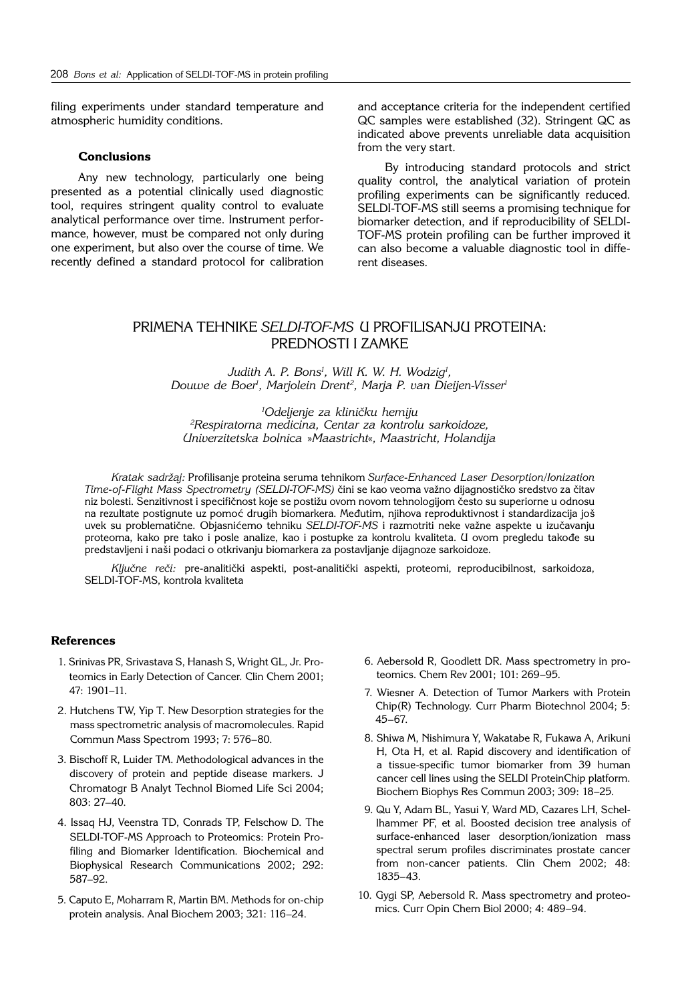filing experiments under standard temperature and atmospheric humidity conditions.

# **Conclusions**

Any new technology, particularly one being presented as a potential clinically used diagnostic tool, requires stringent quality control to evaluate analytical performance over time. Instrument performance, however, must be compared not only during one experiment, but also over the course of time. We recently defined a standard protocol for calibration and acceptance criteria for the independent certified QC samples were established (32). Stringent QC as indicated above prevents unreliable data acquisition from the very start.

By introducing standard protocols and strict quality control, the analytical variation of protein profiling experiments can be significantly reduced. SELDI-TOF-MS still seems a promising technique for biomarker detection, and if reproducibility of SELDI-TOF-MS protein profiling can be further improved it can also become a valuable diagnostic tool in different diseases.

# PRIMENA TEHNIKE *SELDI*-*TOF*-*MS* U PROFILISANJU PROTEINA: PREDNOSTI I ZAMKE

*Judith A. P. Bons1 , Will K. W. H. Wodzig1 , Douwe de Boer1 , Marjolein Drent2 , Marja P. van Dieijen*-*Visser1*

*'Odeljenje za kliničku hemiju 2 Respiratorna medicina, Centar za kontrolu sarkoidoze, Univerzitetska bolnica* »*Maastricht*«*, Maastricht, Holandija*

*Kratak sadr`aj:* Profilisanje proteina seruma tehnikom *Surface*-*Enhanced Laser Desorption/Ionization Time-of-Flight Mass Spectrometry (SELDI-TOF-MS)* čini se kao veoma važno dijagnostičko sredstvo za čitav niz bolesti. Senzitivnost i specifičnost koje se postižu ovom novom tehnologijom često su superiorne u odnosu na rezultate postignute uz pomoć drugih biomarkera. Međutim, njihova reproduktivnost i standardizacija još uvek su problematične. Objasnićemo tehniku *SELDI-TOF-MS* i razmotriti neke važne aspekte u izučavanju proteoma, kako pre tako i posle analize, kao i postupke za kontrolu kvaliteta. U ovom pregledu takođe su predstavljeni i na{i podaci o otkrivanju biomarkera za postavljanje dijagnoze sarkoidoze.

Ključne reči: pre-analitički aspekti, post-analitički aspekti, proteomi, reproducibilnost, sarkoidoza, SELDI-TOF-MS, kontrola kvaliteta

#### **References**

- 1. Srinivas PR, Srivastava S, Hanash S, Wright GL, Jr. Proteomics in Early Detection of Cancer. Clin Chem 2001; 47: 1901-11.
- 2. Hutchens TW, Yip T. New Desorption strategies for the mass spectrometric analysis of macromolecules. Rapid Commun Mass Spectrom 1993; 7: 576-80.
- 3. Bischoff R, Luider TM. Methodological advances in the dis covery of protein and peptide disease markers. J Chromatogr B Analyt Technol Biomed Life Sci 2004; 803: 27-40.
- 4. Issaq HJ, Veenstra TD, Conrads TP, Felschow D. The SELDI-TOF-MS Approach to Proteomics: Protein Profiling and Biomarker Identification. Biochemical and Biophysical Research Communications 2002; 292: 587-92.
- 5. Caputo E, Moharram R, Martin BM. Methods for on chip protein analysis. Anal Biochem 2003; 321: 116-24.
- 6. Aebersold R, Goodlett DR. Mass spectrometry in proteomics. Chem Rev 2001; 101: 269-95.
- 7. Wiesner A. Detection of Tumor Markers with Protein Chip(R) Technology. Curr Pharm Biotechnol 2004; 5:  $45 - 67.$
- 8. Shiwa M, Nishimura Y, Wakatabe R, Fukawa A, Arikuni H, Ota H, et al. Rapid discovery and identification of a tissue-specific tumor biomarker from 39 human cancer cell lines using the SELDI ProteinChip platform. Biochem Biophys Res Commun 2003; 309: 18-25.
- 9. Qu Y, Adam BL, Yasui Y, Ward MD, Cazares LH, Schellhammer PF, et al. Boosted decision tree analysis of surface-enhanced laser desorption/ionization mass spectral serum profiles discriminates prostate cancer from non-cancer patients. Clin Chem 2002; 48: 1835-43.
- 10. Gygi SP, Aebersold R. Mass spectrometry and proteomics. Curr Opin Chem Biol 2000; 4: 489-94.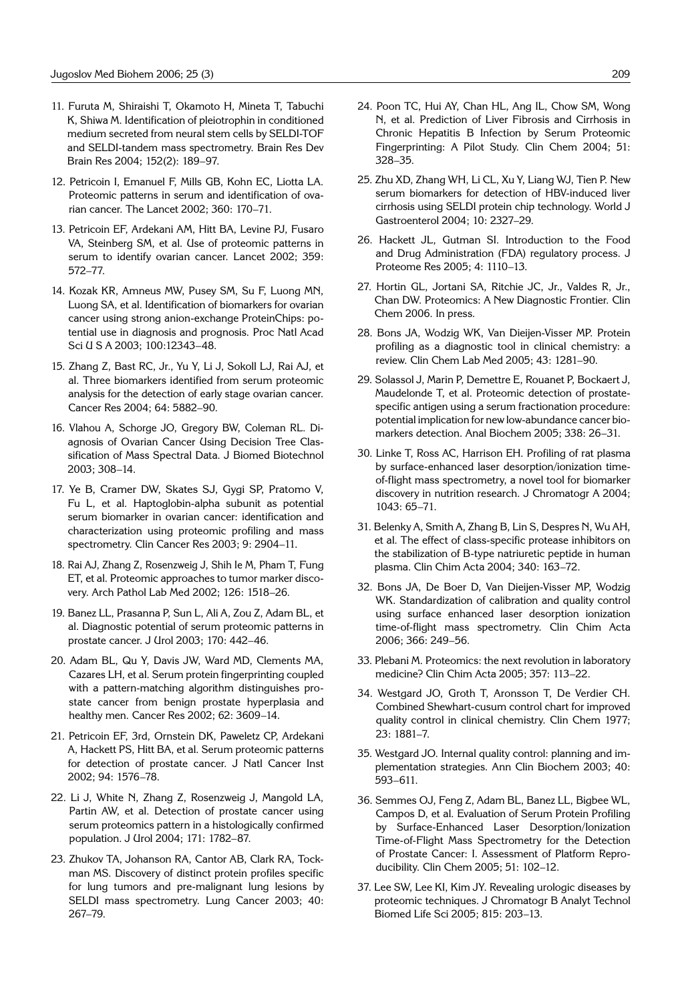- 11. Furuta M, Shiraishi T, Okamoto H, Mineta T, Tabuchi K, Shiwa M. Identification of pleiotrophin in conditioned medium secreted from neural stem cells by SELDI-TOF and SELDI-tandem mass spectrometry. Brain Res Dev Brain Res 2004; 152(2): 189-97.
- 12. Petricoin I, Emanuel F, Mills GB, Kohn EC, Liotta LA. Proteomic patterns in serum and identification of ovarian cancer. The Lancet 2002; 360: 170-71.
- 13. Petricoin EF, Ardekani AM, Hitt BA, Levine PJ, Fusaro VA, Steinberg SM, et al. Use of proteomic patterns in serum to identify ovarian cancer. Lancet 2002; 359: 572<sup>-77</sup>.
- 14. Kozak KR, Amneus MW, Pusey SM, Su F, Luong MN, Luong SA, et al. Identification of biomarkers for ovarian cancer using strong anion-exchange ProteinChips: potential use in diagnosis and prognosis. Proc Natl Acad Sci U S A 2003; 100:12343-48.
- 15. Zhang Z, Bast RC, Jr., Yu Y, Li J, Sokoll LJ, Rai AJ, et al. Three biomarkers identified from serum proteomic analysis for the detection of early stage ovarian cancer. Cancer Res 2004; 64: 5882-90.
- 16. Vlahou A, Schorge JO, Gregory BW, Coleman RL. Diagnosis of Ovarian Cancer Using Decision Tree Classification of Mass Spectral Data. J Biomed Biotechnol 2003; 308-14.
- 17. Ye B, Cramer DW, Skates SJ, Gygi SP, Pratomo V, Fu L, et al. Haptoglobin-alpha subunit as potential serum biomarker in ovarian cancer: identification and characterization using proteomic profiling and mass spectrometry. Clin Cancer Res 2003; 9: 2904-11.
- 18. Rai AJ, Zhang Z, Rosenzweig J, Shih Ie M, Pham T, Fung ET, et al. Proteomic approaches to tumor marker discovery. Arch Pathol Lab Med 2002; 126: 1518-26.
- 19. Banez LL, Prasanna P, Sun L, Ali A, Zou Z, Adam BL, et al. Diagnostic potential of serum proteomic patterns in prostate cancer. J Urol 2003; 170: 442-46.
- 20. Adam BL, Qu Y, Davis JW, Ward MD, Clements MA, Cazares LH, et al. Serum protein fingerprinting coupled with a pattern-matching algorithm distinguishes prostate cancer from benign prostate hyperplasia and healthy men. Cancer Res 2002; 62: 3609-14.
- 21. Petricoin EF, 3rd, Ornstein DK, Paweletz CP, Ardekani A, Hackett PS, Hitt BA, et al. Serum proteomic patterns for detection of prostate cancer. J Natl Cancer Inst 2002; 94: 1576-78.
- 22. Li J, White N, Zhang Z, Rosenzweig J, Mangold LA, Partin AW, et al. Detection of prostate cancer using serum proteomics pattern in a histologically confirmed population. J (Irol 2004; 171: 1782-87.
- 23. Zhukov TA, Johanson RA, Cantor AB, Clark RA, Tockman MS. Discovery of distinct protein profiles specific for lung tumors and pre-malignant lung lesions by SELDI mass spectrometry. Lung Cancer 2003; 40: 267-79.
- 24. Poon TC, Hui AY, Chan HL, Ang IL, Chow SM, Wong N, et al. Prediction of Liver Fibrosis and Cirrhosis in Chronic Hepatitis B Infection by Serum Proteomic Fingerprinting: A Pilot Study. Clin Chem 2004; 51: 328-35.
- 25. Zhu XD, Zhang WH, Li CL, Xu Y, Liang WJ, Tien P. New serum biomarkers for detection of HBV-induced liver cirrhosis using SELDI protein chip technology. World J Gastroenterol 2004; 10: 2327-29.
- 26. Hackett JL, Gutman SI. Introduction to the Food and Drug Administration (FDA) regulatory process. J Proteome Res 2005; 4: 1110-13.
- 27. Hortin GL, Jortani SA, Ritchie JC, Jr., Valdes R, Jr., Chan DW. Proteomics: A New Diagnostic Frontier. Clin Chem 2006. In press.
- 28. Bons JA, Wodzig WK, Van Dieijen-Visser MP. Protein profiling as a diagnostic tool in clinical chemistry: a review. Clin Chem Lab Med 2005; 43: 1281-90.
- 29. Solassol J, Marin P, Demettre E, Rouanet P, Bockaert J, Maudelonde T, et al. Proteomic detection of prostatespecific antigen using a serum fractionation procedure: potential implication for new low-abundance cancer biomarkers detection. Anal Biochem 2005; 338: 26-31.
- 30. Linke T, Ross AC, Harrison EH. Profiling of rat plasma by surface-enhanced laser desorption/ionization timeof-flight mass spectrometry, a novel tool for biomarker discovery in nutrition research. J Chromatogr A 2004; 1043: 65-71.
- 31. Belenky A, Smith A, Zhang B, Lin S, Despres N, Wu AH, et al. The effect of class-specific protease inhibitors on the stabilization of B-type natriuretic peptide in human plasma. Clin Chim Acta 2004; 340: 163-72.
- 32. Bons JA, De Boer D, Van Dieijen-Visser MP, Wodzig WK. Standardization of calibration and quality control using surface enhanced laser desorption ionization time-of-flight mass spectrometry. Clin Chim Acta 2006; 366: 249-56.
- 33. Plebani M. Proteomics: the next revolution in laboratory medicine? Clin Chim Acta 2005; 357: 113-22.
- 34. Westgard JO, Groth T, Aronsson T, De Verdier CH. Combined Shewhart-cusum control chart for improved quality control in clinical chemistry. Clin Chem 1977; 23: 1881-7.
- 35. Westgard JO. Internal quality control: planning and implementation strategies. Ann Clin Biochem 2003; 40: 593-611.
- 36. Semmes OJ, Feng Z, Adam BL, Banez LL, Bigbee WL, Campos D, et al. Evaluation of Serum Protein Profiling by Surface-Enhanced Laser Desorption/Ionization Time-of-Flight Mass Spectrometry for the Detection of Prostate Cancer: I. Assessment of Platform Reproducibility. Clin Chem 2005; 51: 102-12.
- 37. Lee SW, Lee KI, Kim JY. Revealing urologic diseases by proteomic techniques. J Chromatogr B Analyt Technol Biomed Life Sci 2005; 815: 203-13.